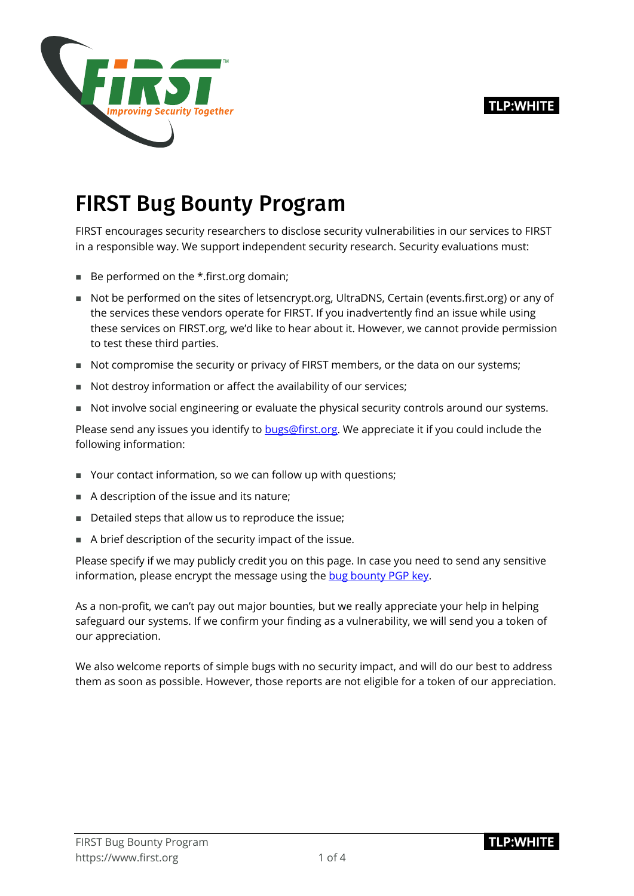#### **TLP:WHITE**



## FIRST Bug Bounty Program

FIRST encourages security researchers to disclose security vulnerabilities in our services to FIRST in a responsible way. We support independent security research. Security evaluations must:

- Be performed on the \*.first.org domain;
- Not be performed on the sites of letsencrypt.org, UltraDNS, Certain (events.first.org) or any of the services these vendors operate for FIRST. If you inadvertently find an issue while using these services on FIRST.org, we'd like to hear about it. However, we cannot provide permission to test these third parties.
- Not compromise the security or privacy of FIRST members, or the data on our systems;
- Not destroy information or affect the availability of our services;
- Not involve social engineering or evaluate the physical security controls around our systems.

Please send any issues you identify to bugs@first.org. We appreciate it if you could include the following information:

- Your contact information, so we can follow up with questions;
- A description of the issue and its nature;
- Detailed steps that allow us to reproduce the issue;
- A brief description of the security impact of the issue.

Please specify if we may publicly credit you on this page. In case you need to send any sensitive information, please encrypt the message using the bug bounty PGP key.

As a non-profit, we can't pay out major bounties, but we really appreciate your help in helping safeguard our systems. If we confirm your finding as a vulnerability, we will send you a token of our appreciation.

We also welcome reports of simple bugs with no security impact, and will do our best to address them as soon as possible. However, those reports are not eligible for a token of our appreciation.

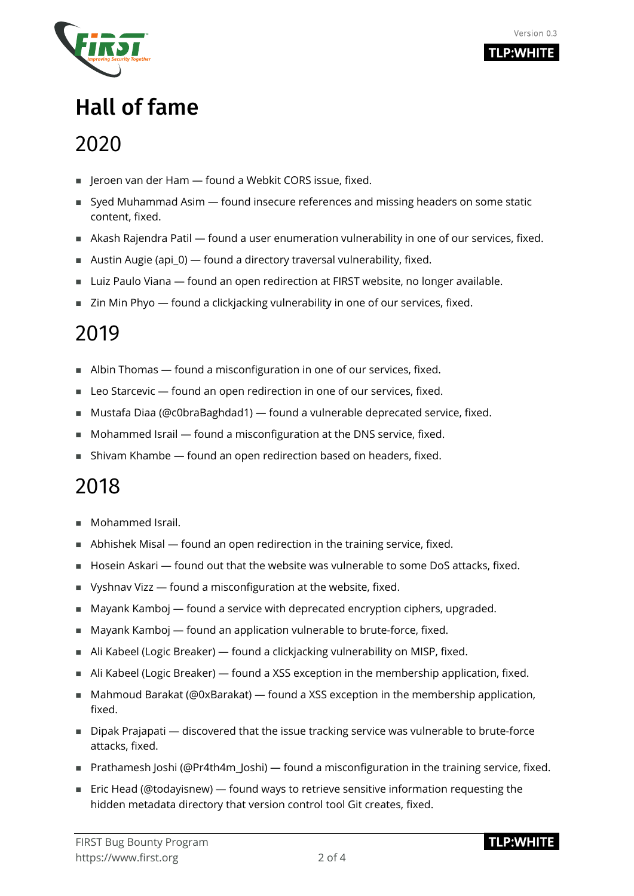



### Hall of fame

#### 2020

- Jeroen van der Ham found a Webkit CORS issue, fixed.
- Syed Muhammad Asim found insecure references and missing headers on some static content, fixed.
- Akash Rajendra Patil found a user enumeration vulnerability in one of our services, fixed.
- Austin Augie (api\_0) found a directory traversal vulnerability, fixed.
- Luiz Paulo Viana found an open redirection at FIRST website, no longer available.
- Zin Min Phyo found a clickjacking vulnerability in one of our services, fixed.

### 2019

- Albin Thomas found a misconfiguration in one of our services, fixed.
- $\blacksquare$  Leo Starcevic  $\blacksquare$  found an open redirection in one of our services, fixed.
- Mustafa Diaa (@c0braBaghdad1) found a vulnerable deprecated service, fixed.
- **Mohammed Israil found a misconfiguration at the DNS service, fixed.**
- Shivam Khambe found an open redirection based on headers, fixed.

#### 2018

- Mohammed Israil.
- Abhishek Misal found an open redirection in the training service, fixed.
- $\blacksquare$  Hosein Askari  $-$  found out that the website was vulnerable to some DoS attacks, fixed.
- Vyshnav Vizz found a misconfiguration at the website, fixed.
- Mayank Kamboj found a service with deprecated encryption ciphers, upgraded.
- Mayank Kamboj found an application vulnerable to brute-force, fixed.
- Ali Kabeel (Logic Breaker) found a clickjacking vulnerability on MISP, fixed.
- $\blacksquare$  Ali Kabeel (Logic Breaker) found a XSS exception in the membership application, fixed.
- Mahmoud Barakat (@0xBarakat) found a XSS exception in the membership application, fixed.
- $\blacksquare$  Dipak Prajapati discovered that the issue tracking service was vulnerable to brute-force attacks, fixed.
- Prathamesh Joshi (@Pr4th4m\_Joshi) found a misconfiguration in the training service, fixed.
- **Example 3** Eric Head (@todayisnew) found ways to retrieve sensitive information requesting the hidden metadata directory that version control tool Git creates, fixed.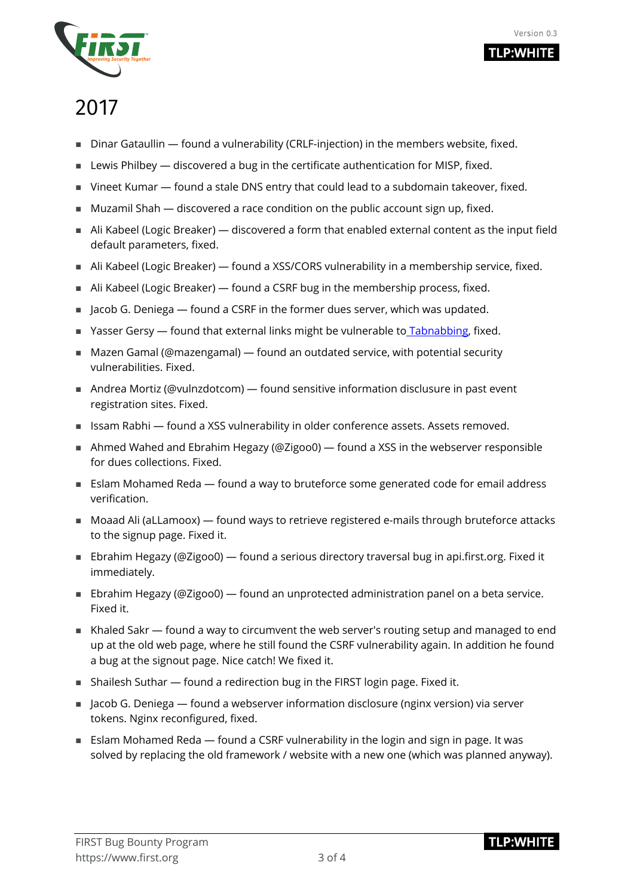

#### **TLP:WHITE**

## 2017

- $\blacksquare$  Dinar Gataullin found a vulnerability (CRLF-injection) in the members website, fixed.
- **EXECUTE:** Lewis Philbey discovered a bug in the certificate authentication for MISP, fixed.
- Vineet Kumar found a stale DNS entry that could lead to a subdomain takeover, fixed.
- Muzamil Shah discovered a race condition on the public account sign up, fixed.
- $\blacksquare$  Ali Kabeel (Logic Breaker) discovered a form that enabled external content as the input field default parameters, fixed.
- Ali Kabeel (Logic Breaker) found a XSS/CORS vulnerability in a membership service, fixed.
- $\blacksquare$  Ali Kabeel (Logic Breaker) found a CSRF bug in the membership process, fixed.
- $\blacksquare$  Jacob G. Deniega found a CSRF in the former dues server, which was updated.
- Yasser Gersy found that external links might be vulnerable to [Tabnabbing,](https://en.wikipedia.org/wiki/Tabnabbing) fixed.
- Mazen Gamal (@mazengamal) found an outdated service, with potential security vulnerabilities. Fixed.
- Andrea Mortiz (@vulnzdotcom) found sensitive information disclusure in past event registration sites. Fixed.
- $\blacksquare$  Issam Rabhi found a XSS vulnerability in older conference assets. Assets removed.
- Ahmed Wahed and Ebrahim Hegazy (@Zigoo0) found a XSS in the webserver responsible for dues collections. Fixed.
- Eslam Mohamed Reda found a way to bruteforce some generated code for email address verification.
- Moaad Ali (aLLamoox) found ways to retrieve registered e-mails through bruteforce attacks to the signup page. Fixed it.
- Ebrahim Hegazy (@Zigoo0) found a serious directory traversal bug in api.first.org. Fixed it immediately.
- Ebrahim Hegazy (@Zigoo0) found an unprotected administration panel on a beta service. Fixed it.
- Khaled Sakr found a way to circumvent the web server's routing setup and managed to end up at the old web page, where he still found the CSRF vulnerability again. In addition he found a bug at the signout page. Nice catch! We fixed it.
- Shailesh Suthar found a redirection bug in the FIRST login page. Fixed it.
- Jacob G. Deniega found a webserver information disclosure (nginx version) via server tokens. Nginx reconfigured, fixed.
- **Exammon** Mohamed Reda found a CSRF vulnerability in the login and sign in page. It was solved by replacing the old framework / website with a new one (which was planned anyway).